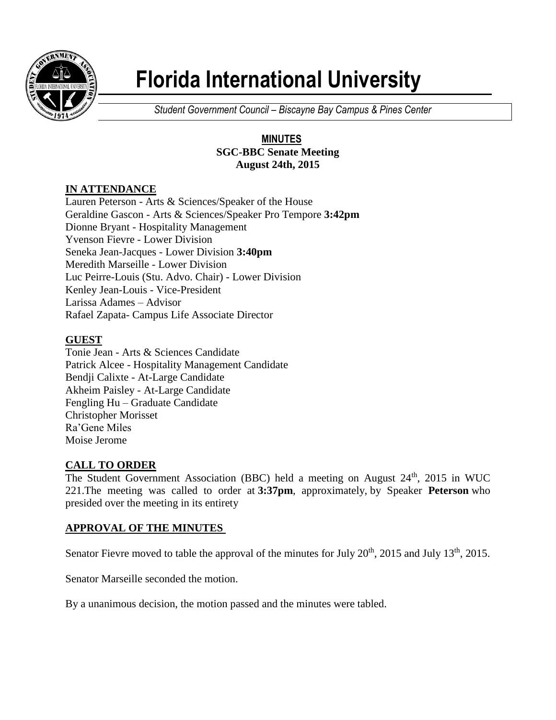

# **Florida International University**

*Student Government Council – Biscayne Bay Campus & Pines Center*

### **MINUTES SGC-BBC Senate Meeting August 24th, 2015**

## **IN ATTENDANCE**

Lauren Peterson - Arts & Sciences/Speaker of the House Geraldine Gascon - Arts & Sciences/Speaker Pro Tempore **3:42pm** Dionne Bryant - Hospitality Management Yvenson Fievre - Lower Division Seneka Jean-Jacques - Lower Division **3:40pm** Meredith Marseille - Lower Division Luc Peirre-Louis (Stu. Advo. Chair) - Lower Division Kenley Jean-Louis - Vice-President Larissa Adames – Advisor Rafael Zapata- Campus Life Associate Director

## **GUEST**

Tonie Jean - Arts & Sciences Candidate Patrick Alcee - Hospitality Management Candidate Bendji Calixte - At-Large Candidate Akheim Paisley - At-Large Candidate Fengling Hu – Graduate Candidate Christopher Morisset Ra'Gene Miles Moise Jerome

## **CALL TO ORDER**

The Student Government Association (BBC) held a meeting on August 24<sup>th</sup>, 2015 in WUC 221.The meeting was called to order at **3:37pm**, approximately, by Speaker **Peterson** who presided over the meeting in its entirety

## **APPROVAL OF THE MINUTES**

Senator Fievre moved to table the approval of the minutes for July 20<sup>th</sup>, 2015 and July 13<sup>th</sup>, 2015.

Senator Marseille seconded the motion.

By a unanimous decision, the motion passed and the minutes were tabled.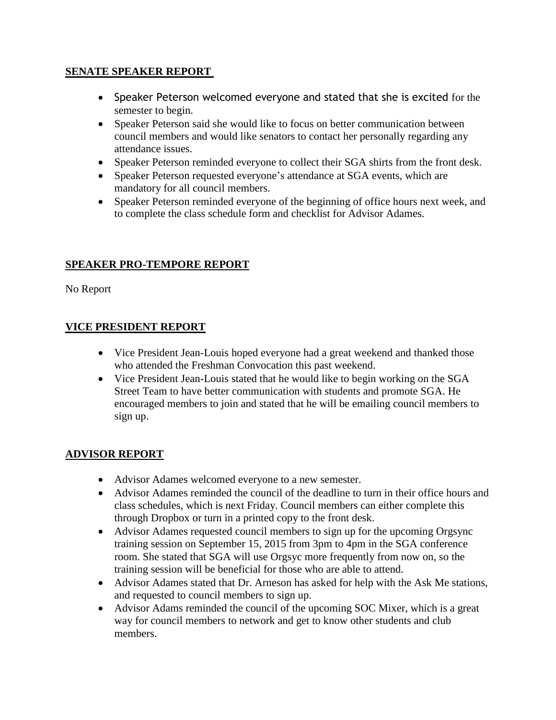#### **SENATE SPEAKER REPORT**

- Speaker Peterson welcomed everyone and stated that she is excited for the semester to begin.
- Speaker Peterson said she would like to focus on better communication between council members and would like senators to contact her personally regarding any attendance issues.
- Speaker Peterson reminded everyone to collect their SGA shirts from the front desk.
- Speaker Peterson requested everyone's attendance at SGA events, which are mandatory for all council members.
- Speaker Peterson reminded everyone of the beginning of office hours next week, and to complete the class schedule form and checklist for Advisor Adames.

#### **SPEAKER PRO-TEMPORE REPORT**

No Report

#### **VICE PRESIDENT REPORT**

- Vice President Jean-Louis hoped everyone had a great weekend and thanked those who attended the Freshman Convocation this past weekend.
- Vice President Jean-Louis stated that he would like to begin working on the SGA Street Team to have better communication with students and promote SGA. He encouraged members to join and stated that he will be emailing council members to sign up.

#### **ADVISOR REPORT**

- Advisor Adames welcomed everyone to a new semester.
- Advisor Adames reminded the council of the deadline to turn in their office hours and class schedules, which is next Friday. Council members can either complete this through Dropbox or turn in a printed copy to the front desk.
- Advisor Adames requested council members to sign up for the upcoming Orgsync training session on September 15, 2015 from 3pm to 4pm in the SGA conference room. She stated that SGA will use Orgsyc more frequently from now on, so the training session will be beneficial for those who are able to attend.
- Advisor Adames stated that Dr. Arneson has asked for help with the Ask Me stations, and requested to council members to sign up.
- Advisor Adams reminded the council of the upcoming SOC Mixer, which is a great way for council members to network and get to know other students and club members.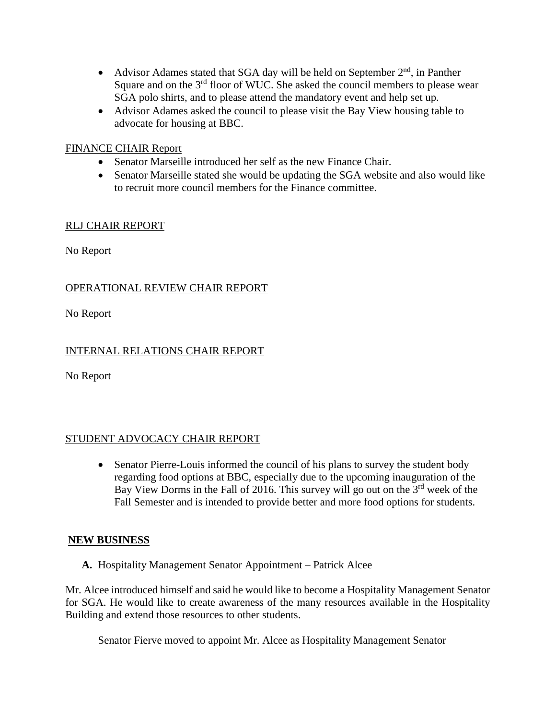- Advisor Adames stated that SGA day will be held on September  $2<sup>nd</sup>$ , in Panther Square and on the 3<sup>rd</sup> floor of WUC. She asked the council members to please wear SGA polo shirts, and to please attend the mandatory event and help set up.
- Advisor Adames asked the council to please visit the Bay View housing table to advocate for housing at BBC.

#### FINANCE CHAIR Report

- Senator Marseille introduced her self as the new Finance Chair.
- Senator Marseille stated she would be updating the SGA website and also would like to recruit more council members for the Finance committee.

#### RLJ CHAIR REPORT

No Report

### OPERATIONAL REVIEW CHAIR REPORT

No Report

### INTERNAL RELATIONS CHAIR REPORT

No Report

#### STUDENT ADVOCACY CHAIR REPORT

• Senator Pierre-Louis informed the council of his plans to survey the student body regarding food options at BBC, especially due to the upcoming inauguration of the Bay View Dorms in the Fall of 2016. This survey will go out on the 3<sup>rd</sup> week of the Fall Semester and is intended to provide better and more food options for students.

#### **NEW BUSINESS**

**A.** Hospitality Management Senator Appointment – Patrick Alcee

Mr. Alcee introduced himself and said he would like to become a Hospitality Management Senator for SGA. He would like to create awareness of the many resources available in the Hospitality Building and extend those resources to other students.

Senator Fierve moved to appoint Mr. Alcee as Hospitality Management Senator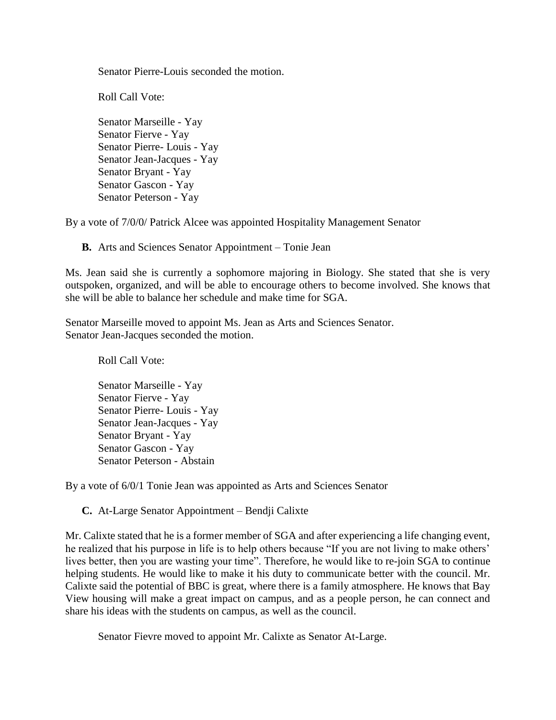Senator Pierre-Louis seconded the motion.

Roll Call Vote:

Senator Marseille - Yay Senator Fierve - Yay Senator Pierre- Louis - Yay Senator Jean-Jacques - Yay Senator Bryant - Yay Senator Gascon - Yay Senator Peterson - Yay

By a vote of 7/0/0/ Patrick Alcee was appointed Hospitality Management Senator

**B.** Arts and Sciences Senator Appointment – Tonie Jean

Ms. Jean said she is currently a sophomore majoring in Biology. She stated that she is very outspoken, organized, and will be able to encourage others to become involved. She knows that she will be able to balance her schedule and make time for SGA.

Senator Marseille moved to appoint Ms. Jean as Arts and Sciences Senator. Senator Jean-Jacques seconded the motion.

Roll Call Vote:

Senator Marseille - Yay Senator Fierve - Yay Senator Pierre- Louis - Yay Senator Jean-Jacques - Yay Senator Bryant - Yay Senator Gascon - Yay Senator Peterson - Abstain

By a vote of 6/0/1 Tonie Jean was appointed as Arts and Sciences Senator

**C.** At-Large Senator Appointment – Bendji Calixte

Mr. Calixte stated that he is a former member of SGA and after experiencing a life changing event, he realized that his purpose in life is to help others because "If you are not living to make others' lives better, then you are wasting your time". Therefore, he would like to re-join SGA to continue helping students. He would like to make it his duty to communicate better with the council. Mr. Calixte said the potential of BBC is great, where there is a family atmosphere. He knows that Bay View housing will make a great impact on campus, and as a people person, he can connect and share his ideas with the students on campus, as well as the council.

Senator Fievre moved to appoint Mr. Calixte as Senator At-Large.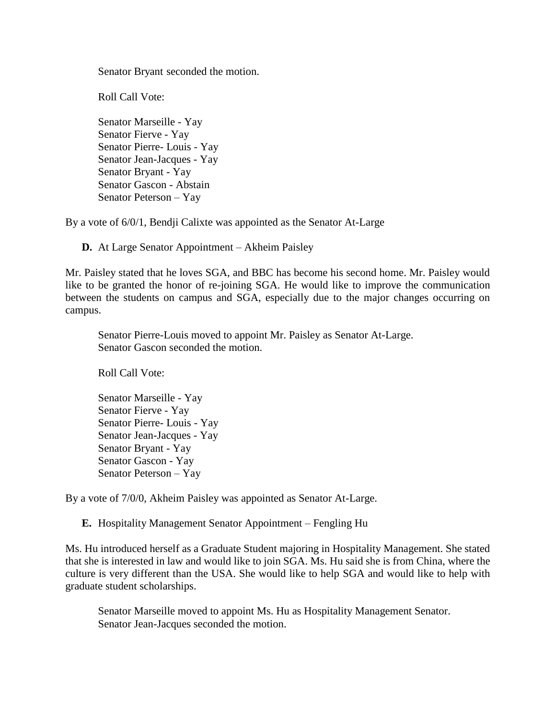Senator Bryant seconded the motion.

Roll Call Vote:

Senator Marseille - Yay Senator Fierve - Yay Senator Pierre- Louis - Yay Senator Jean-Jacques - Yay Senator Bryant - Yay Senator Gascon - Abstain Senator Peterson – Yay

By a vote of 6/0/1, Bendji Calixte was appointed as the Senator At-Large

**D.** At Large Senator Appointment – Akheim Paisley

Mr. Paisley stated that he loves SGA, and BBC has become his second home. Mr. Paisley would like to be granted the honor of re-joining SGA. He would like to improve the communication between the students on campus and SGA, especially due to the major changes occurring on campus.

Senator Pierre-Louis moved to appoint Mr. Paisley as Senator At-Large. Senator Gascon seconded the motion.

Roll Call Vote:

Senator Marseille - Yay Senator Fierve - Yay Senator Pierre- Louis - Yay Senator Jean-Jacques - Yay Senator Bryant - Yay Senator Gascon - Yay Senator Peterson – Yay

By a vote of 7/0/0, Akheim Paisley was appointed as Senator At-Large.

**E.** Hospitality Management Senator Appointment – Fengling Hu

Ms. Hu introduced herself as a Graduate Student majoring in Hospitality Management. She stated that she is interested in law and would like to join SGA. Ms. Hu said she is from China, where the culture is very different than the USA. She would like to help SGA and would like to help with graduate student scholarships.

Senator Marseille moved to appoint Ms. Hu as Hospitality Management Senator. Senator Jean-Jacques seconded the motion.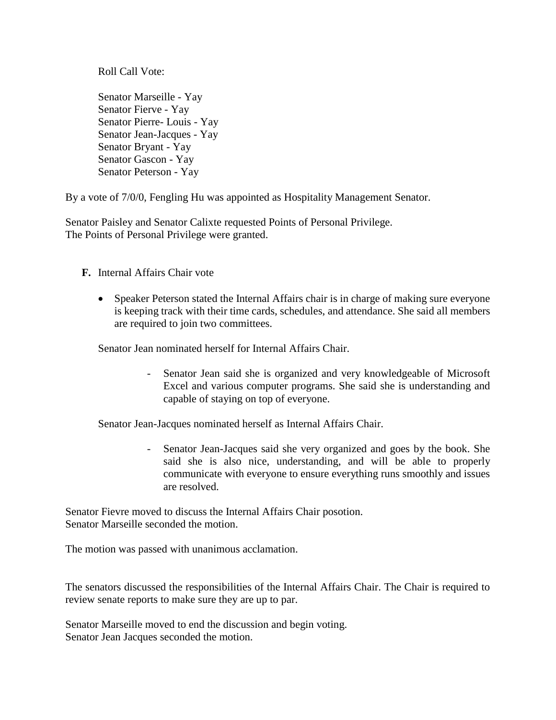Roll Call Vote:

Senator Marseille - Yay Senator Fierve - Yay Senator Pierre- Louis - Yay Senator Jean-Jacques - Yay Senator Bryant - Yay Senator Gascon - Yay Senator Peterson - Yay

By a vote of 7/0/0, Fengling Hu was appointed as Hospitality Management Senator.

Senator Paisley and Senator Calixte requested Points of Personal Privilege. The Points of Personal Privilege were granted.

#### **F.** Internal Affairs Chair vote

• Speaker Peterson stated the Internal Affairs chair is in charge of making sure everyone is keeping track with their time cards, schedules, and attendance. She said all members are required to join two committees.

Senator Jean nominated herself for Internal Affairs Chair.

- Senator Jean said she is organized and very knowledgeable of Microsoft Excel and various computer programs. She said she is understanding and capable of staying on top of everyone.

Senator Jean-Jacques nominated herself as Internal Affairs Chair.

Senator Jean-Jacques said she very organized and goes by the book. She said she is also nice, understanding, and will be able to properly communicate with everyone to ensure everything runs smoothly and issues are resolved.

Senator Fievre moved to discuss the Internal Affairs Chair posotion. Senator Marseille seconded the motion.

The motion was passed with unanimous acclamation.

The senators discussed the responsibilities of the Internal Affairs Chair. The Chair is required to review senate reports to make sure they are up to par.

Senator Marseille moved to end the discussion and begin voting. Senator Jean Jacques seconded the motion.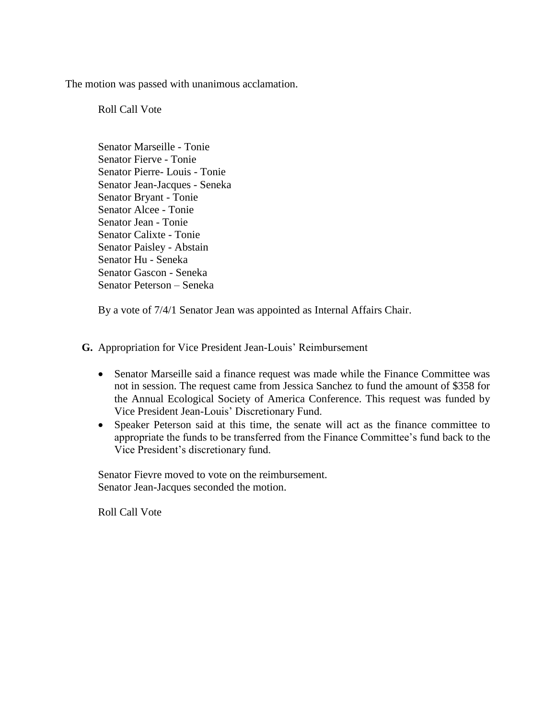The motion was passed with unanimous acclamation.

Roll Call Vote

Senator Marseille - Tonie Senator Fierve - Tonie Senator Pierre- Louis - Tonie Senator Jean-Jacques - Seneka Senator Bryant - Tonie Senator Alcee - Tonie Senator Jean - Tonie Senator Calixte - Tonie Senator Paisley - Abstain Senator Hu - Seneka Senator Gascon - Seneka Senator Peterson – Seneka

By a vote of 7/4/1 Senator Jean was appointed as Internal Affairs Chair.

**G.** Appropriation for Vice President Jean-Louis' Reimbursement

- Senator Marseille said a finance request was made while the Finance Committee was not in session. The request came from Jessica Sanchez to fund the amount of \$358 for the Annual Ecological Society of America Conference. This request was funded by Vice President Jean-Louis' Discretionary Fund.
- Speaker Peterson said at this time, the senate will act as the finance committee to appropriate the funds to be transferred from the Finance Committee's fund back to the Vice President's discretionary fund.

Senator Fievre moved to vote on the reimbursement. Senator Jean-Jacques seconded the motion.

Roll Call Vote